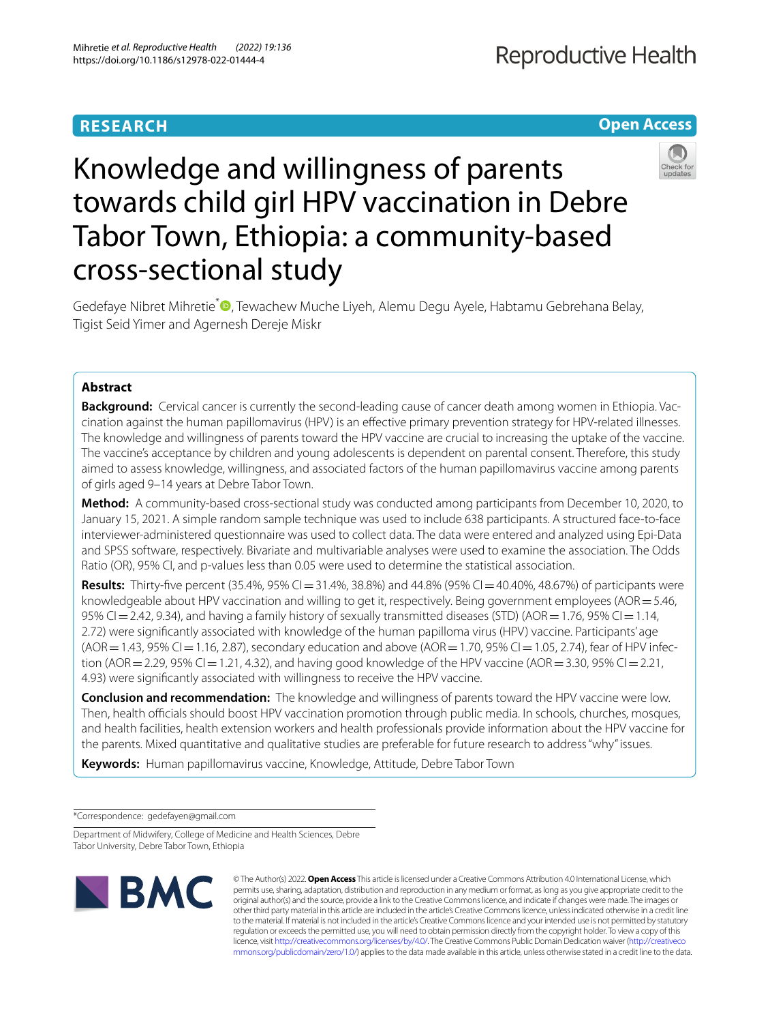# **RESEARCH**

# **Open Access**



# Knowledge and willingness of parents towards child girl HPV vaccination in Debre Tabor Town, Ethiopia: a community-based cross-sectional study

Gedefaye Nibret Mihretie<sup>[\\*](http://orcid.org/0000-0003-1223-7980)</sup> <sup>(D</sup>, Tewachew Muche Liyeh, Alemu Degu Ayele, Habtamu Gebrehana Belay, Tigist Seid Yimer and Agernesh Dereje Miskr

## **Abstract**

**Background:** Cervical cancer is currently the second-leading cause of cancer death among women in Ethiopia. Vaccination against the human papillomavirus (HPV) is an efective primary prevention strategy for HPV-related illnesses. The knowledge and willingness of parents toward the HPV vaccine are crucial to increasing the uptake of the vaccine. The vaccine's acceptance by children and young adolescents is dependent on parental consent. Therefore, this study aimed to assess knowledge, willingness, and associated factors of the human papillomavirus vaccine among parents of girls aged 9–14 years at Debre Tabor Town.

**Method:** A community-based cross-sectional study was conducted among participants from December 10, 2020, to January 15, 2021. A simple random sample technique was used to include 638 participants. A structured face-to-face interviewer-administered questionnaire was used to collect data. The data were entered and analyzed using Epi-Data and SPSS software, respectively. Bivariate and multivariable analyses were used to examine the association. The Odds Ratio (OR), 95% CI, and p-values less than 0.05 were used to determine the statistical association.

**Results:** Thirty-fve percent (35.4%, 95% CI=31.4%, 38.8%) and 44.8% (95% CI=40.40%, 48.67%) of participants were knowledgeable about HPV vaccination and willing to get it, respectively. Being government employees (AOR = 5.46, 95% CI=2.42, 9.34), and having a family history of sexually transmitted diseases (STD) (AOR=1.76, 95% CI=1.14, 2.72) were signifcantly associated with knowledge of the human papilloma virus (HPV) vaccine. Participants' age  $(AOR = 1.43, 95\%$  CI = 1.16, 2.87), secondary education and above  $(AOR = 1.70, 95\%$  CI = 1.05, 2.74), fear of HPV infection (AOR = 2.29, 95% CI = 1.21, 4.32), and having good knowledge of the HPV vaccine (AOR = 3.30, 95% CI = 2.21, 4.93) were signifcantly associated with willingness to receive the HPV vaccine.

**Conclusion and recommendation:** The knowledge and willingness of parents toward the HPV vaccine were low. Then, health officials should boost HPV vaccination promotion through public media. In schools, churches, mosques, and health facilities, health extension workers and health professionals provide information about the HPV vaccine for the parents. Mixed quantitative and qualitative studies are preferable for future research to address "why" issues.

**Keywords:** Human papillomavirus vaccine, Knowledge, Attitude, Debre Tabor Town

\*Correspondence: gedefayen@gmail.com

Department of Midwifery, College of Medicine and Health Sciences, Debre Tabor University, Debre Tabor Town, Ethiopia



© The Author(s) 2022. **Open Access** This article is licensed under a Creative Commons Attribution 4.0 International License, which permits use, sharing, adaptation, distribution and reproduction in any medium or format, as long as you give appropriate credit to the original author(s) and the source, provide a link to the Creative Commons licence, and indicate if changes were made. The images or other third party material in this article are included in the article's Creative Commons licence, unless indicated otherwise in a credit line to the material. If material is not included in the article's Creative Commons licence and your intended use is not permitted by statutory regulation or exceeds the permitted use, you will need to obtain permission directly from the copyright holder. To view a copy of this licence, visit [http://creativecommons.org/licenses/by/4.0/.](http://creativecommons.org/licenses/by/4.0/) The Creative Commons Public Domain Dedication waiver ([http://creativeco](http://creativecommons.org/publicdomain/zero/1.0/) [mmons.org/publicdomain/zero/1.0/](http://creativecommons.org/publicdomain/zero/1.0/)) applies to the data made available in this article, unless otherwise stated in a credit line to the data.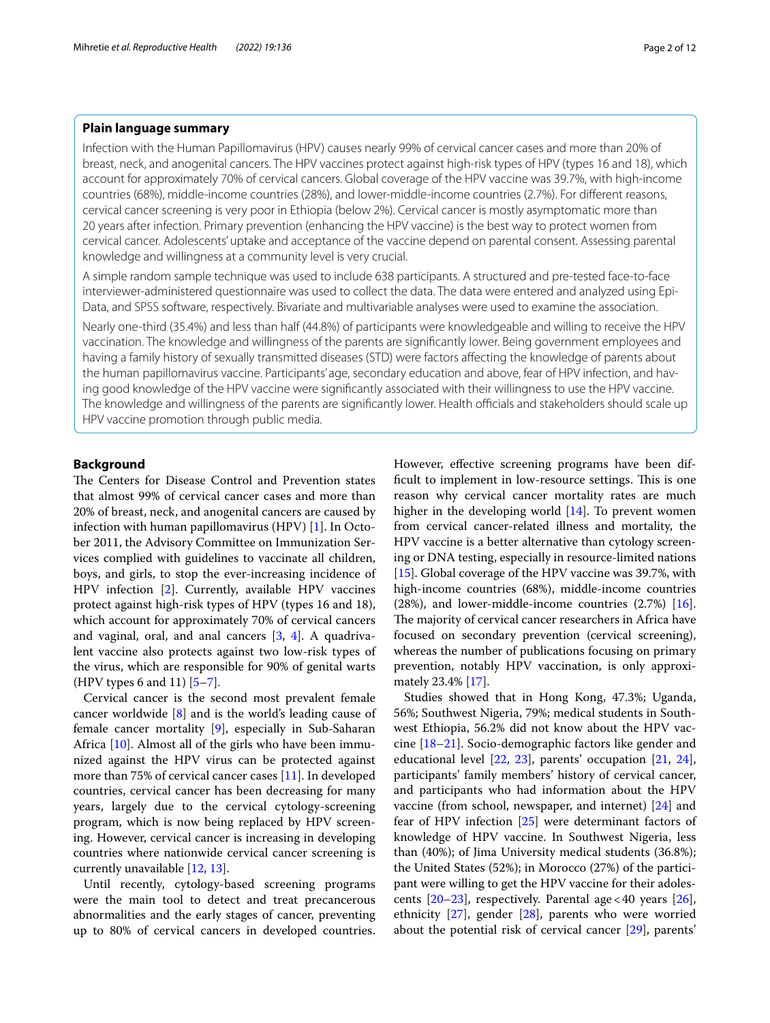## **Plain language summary**

Infection with the Human Papillomavirus (HPV) causes nearly 99% of cervical cancer cases and more than 20% of breast, neck, and anogenital cancers. The HPV vaccines protect against high-risk types of HPV (types 16 and 18), which account for approximately 70% of cervical cancers. Global coverage of the HPV vaccine was 39.7%, with high-income countries (68%), middle-income countries (28%), and lower-middle-income countries (2.7%). For diferent reasons, cervical cancer screening is very poor in Ethiopia (below 2%). Cervical cancer is mostly asymptomatic more than 20 years after infection. Primary prevention (enhancing the HPV vaccine) is the best way to protect women from cervical cancer. Adolescents' uptake and acceptance of the vaccine depend on parental consent. Assessing parental knowledge and willingness at a community level is very crucial.

A simple random sample technique was used to include 638 participants. A structured and pre-tested face-to-face interviewer-administered questionnaire was used to collect the data. The data were entered and analyzed using Epi-Data, and SPSS software, respectively. Bivariate and multivariable analyses were used to examine the association.

Nearly one-third (35.4%) and less than half (44.8%) of participants were knowledgeable and willing to receive the HPV vaccination. The knowledge and willingness of the parents are signifcantly lower. Being government employees and having a family history of sexually transmitted diseases (STD) were factors affecting the knowledge of parents about the human papillomavirus vaccine. Participants' age, secondary education and above, fear of HPV infection, and having good knowledge of the HPV vaccine were signifcantly associated with their willingness to use the HPV vaccine. The knowledge and willingness of the parents are significantly lower. Health officials and stakeholders should scale up HPV vaccine promotion through public media.

## **Background**

The Centers for Disease Control and Prevention states that almost 99% of cervical cancer cases and more than 20% of breast, neck, and anogenital cancers are caused by infection with human papillomavirus (HPV) [[1\]](#page-10-0). In October 2011, the Advisory Committee on Immunization Services complied with guidelines to vaccinate all children, boys, and girls, to stop the ever-increasing incidence of HPV infection [\[2](#page-10-1)]. Currently, available HPV vaccines protect against high-risk types of HPV (types 16 and 18), which account for approximately 70% of cervical cancers and vaginal, oral, and anal cancers [[3](#page-10-2), [4\]](#page-10-3). A quadrivalent vaccine also protects against two low-risk types of the virus, which are responsible for 90% of genital warts (HPV types 6 and 11) [\[5](#page-10-4)[–7](#page-10-5)].

Cervical cancer is the second most prevalent female cancer worldwide [\[8](#page-10-6)] and is the world's leading cause of female cancer mortality [\[9](#page-10-7)], especially in Sub-Saharan Africa [\[10\]](#page-10-8). Almost all of the girls who have been immunized against the HPV virus can be protected against more than 75% of cervical cancer cases [\[11](#page-10-9)]. In developed countries, cervical cancer has been decreasing for many years, largely due to the cervical cytology-screening program, which is now being replaced by HPV screening. However, cervical cancer is increasing in developing countries where nationwide cervical cancer screening is currently unavailable [[12,](#page-10-10) [13](#page-10-11)].

Until recently, cytology-based screening programs were the main tool to detect and treat precancerous abnormalities and the early stages of cancer, preventing up to 80% of cervical cancers in developed countries. However, effective screening programs have been difficult to implement in low-resource settings. This is one reason why cervical cancer mortality rates are much higher in the developing world [[14\]](#page-10-12). To prevent women from cervical cancer-related illness and mortality, the HPV vaccine is a better alternative than cytology screening or DNA testing, especially in resource-limited nations [[15\]](#page-10-13). Global coverage of the HPV vaccine was 39.7%, with high-income countries (68%), middle-income countries (28%), and lower-middle-income countries (2.7%) [\[16](#page-10-14)]. The majority of cervical cancer researchers in Africa have focused on secondary prevention (cervical screening), whereas the number of publications focusing on primary prevention, notably HPV vaccination, is only approximately 23.4% [[17](#page-10-15)].

Studies showed that in Hong Kong, 47.3%; Uganda, 56%; Southwest Nigeria, 79%; medical students in Southwest Ethiopia, 56.2% did not know about the HPV vaccine [[18–](#page-10-16)[21](#page-10-17)]. Socio-demographic factors like gender and educational level  $[22, 23]$  $[22, 23]$  $[22, 23]$  $[22, 23]$ , parents' occupation  $[21, 24]$  $[21, 24]$  $[21, 24]$  $[21, 24]$ , participants' family members' history of cervical cancer, and participants who had information about the HPV vaccine (from school, newspaper, and internet) [\[24\]](#page-10-20) and fear of HPV infection [[25\]](#page-10-21) were determinant factors of knowledge of HPV vaccine. In Southwest Nigeria, less than (40%); of Jima University medical students (36.8%); the United States (52%); in Morocco (27%) of the participant were willing to get the HPV vaccine for their adolescents  $[20-23]$  $[20-23]$  $[20-23]$ , respectively. Parental age < 40 years  $[26]$  $[26]$ , ethnicity [[27\]](#page-10-24), gender [[28\]](#page-10-25), parents who were worried about the potential risk of cervical cancer [\[29](#page-11-0)], parents'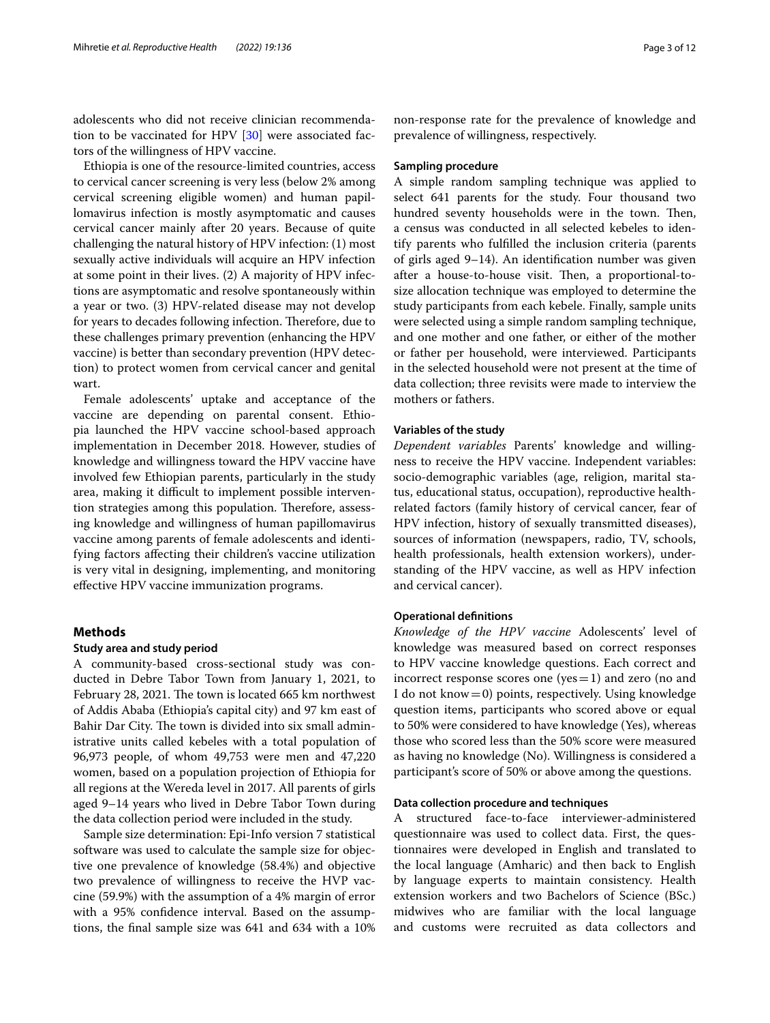adolescents who did not receive clinician recommendation to be vaccinated for HPV [\[30](#page-11-1)] were associated factors of the willingness of HPV vaccine.

Ethiopia is one of the resource-limited countries, access to cervical cancer screening is very less (below 2% among cervical screening eligible women) and human papillomavirus infection is mostly asymptomatic and causes cervical cancer mainly after 20 years. Because of quite challenging the natural history of HPV infection: (1) most sexually active individuals will acquire an HPV infection at some point in their lives. (2) A majority of HPV infections are asymptomatic and resolve spontaneously within a year or two. (3) HPV-related disease may not develop for years to decades following infection. Therefore, due to these challenges primary prevention (enhancing the HPV vaccine) is better than secondary prevention (HPV detection) to protect women from cervical cancer and genital wart.

Female adolescents' uptake and acceptance of the vaccine are depending on parental consent. Ethiopia launched the HPV vaccine school-based approach implementation in December 2018. However, studies of knowledge and willingness toward the HPV vaccine have involved few Ethiopian parents, particularly in the study area, making it difficult to implement possible intervention strategies among this population. Therefore, assessing knowledge and willingness of human papillomavirus vaccine among parents of female adolescents and identifying factors afecting their children's vaccine utilization is very vital in designing, implementing, and monitoring efective HPV vaccine immunization programs.

## **Methods**

## **Study area and study period**

A community-based cross-sectional study was conducted in Debre Tabor Town from January 1, 2021, to February 28, 2021. The town is located 665 km northwest of Addis Ababa (Ethiopia's capital city) and 97 km east of Bahir Dar City. The town is divided into six small administrative units called kebeles with a total population of 96,973 people, of whom 49,753 were men and 47,220 women, based on a population projection of Ethiopia for all regions at the Wereda level in 2017. All parents of girls aged 9–14 years who lived in Debre Tabor Town during the data collection period were included in the study.

Sample size determination: Epi-Info version 7 statistical software was used to calculate the sample size for objective one prevalence of knowledge (58.4%) and objective two prevalence of willingness to receive the HVP vaccine (59.9%) with the assumption of a 4% margin of error with a 95% confdence interval. Based on the assumptions, the fnal sample size was 641 and 634 with a 10% non-response rate for the prevalence of knowledge and prevalence of willingness, respectively.

#### **Sampling procedure**

A simple random sampling technique was applied to select 641 parents for the study. Four thousand two hundred seventy households were in the town. Then, a census was conducted in all selected kebeles to identify parents who fulflled the inclusion criteria (parents of girls aged 9–14). An identifcation number was given after a house-to-house visit. Then, a proportional-tosize allocation technique was employed to determine the study participants from each kebele. Finally, sample units were selected using a simple random sampling technique, and one mother and one father, or either of the mother or father per household, were interviewed. Participants in the selected household were not present at the time of data collection; three revisits were made to interview the mothers or fathers.

## **Variables of the study**

*Dependent variables* Parents' knowledge and willingness to receive the HPV vaccine. Independent variables: socio-demographic variables (age, religion, marital status, educational status, occupation), reproductive healthrelated factors (family history of cervical cancer, fear of HPV infection, history of sexually transmitted diseases), sources of information (newspapers, radio, TV, schools, health professionals, health extension workers), understanding of the HPV vaccine, as well as HPV infection and cervical cancer).

## **Operational defnitions**

*Knowledge of the HPV vaccine* Adolescents' level of knowledge was measured based on correct responses to HPV vaccine knowledge questions. Each correct and incorrect response scores one ( $yes=1$ ) and zero (no and I do not know $=0$ ) points, respectively. Using knowledge question items, participants who scored above or equal to 50% were considered to have knowledge (Yes), whereas those who scored less than the 50% score were measured as having no knowledge (No). Willingness is considered a participant's score of 50% or above among the questions.

## **Data collection procedure and techniques**

A structured face-to-face interviewer-administered questionnaire was used to collect data. First, the questionnaires were developed in English and translated to the local language (Amharic) and then back to English by language experts to maintain consistency. Health extension workers and two Bachelors of Science (BSc.) midwives who are familiar with the local language and customs were recruited as data collectors and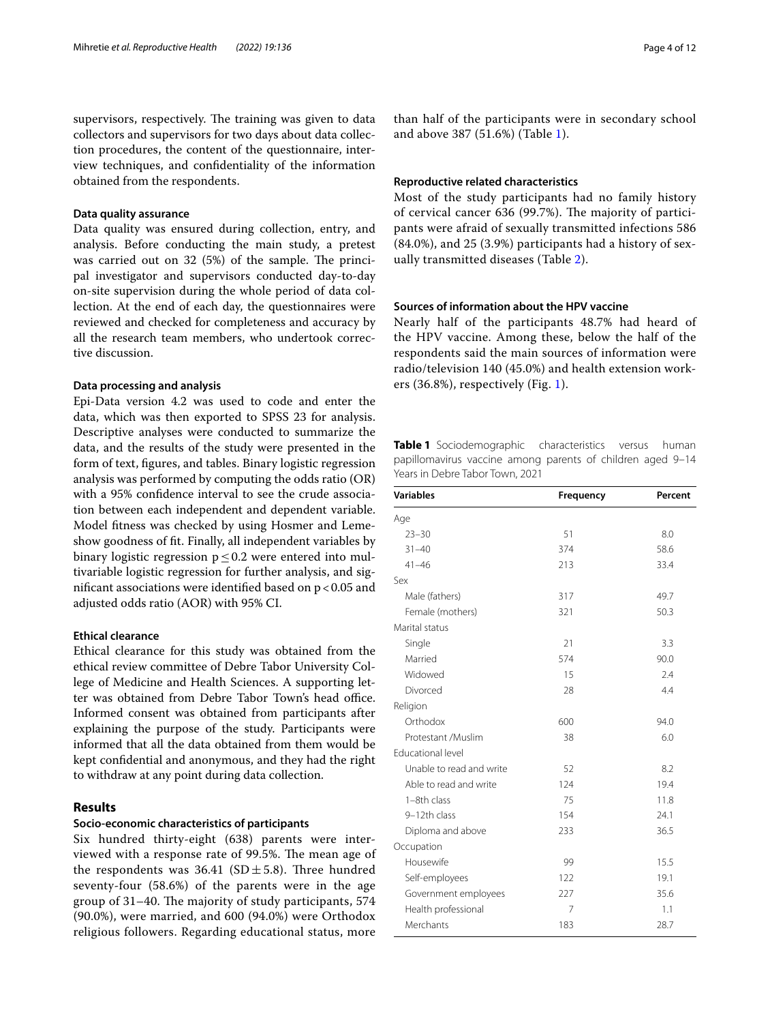supervisors, respectively. The training was given to data collectors and supervisors for two days about data collection procedures, the content of the questionnaire, interview techniques, and confdentiality of the information obtained from the respondents.

### **Data quality assurance**

Data quality was ensured during collection, entry, and analysis. Before conducting the main study, a pretest was carried out on  $32$  (5%) of the sample. The principal investigator and supervisors conducted day-to-day on-site supervision during the whole period of data collection. At the end of each day, the questionnaires were reviewed and checked for completeness and accuracy by all the research team members, who undertook corrective discussion.

## **Data processing and analysis**

Epi-Data version 4.2 was used to code and enter the data, which was then exported to SPSS 23 for analysis. Descriptive analyses were conducted to summarize the data, and the results of the study were presented in the form of text, fgures, and tables. Binary logistic regression analysis was performed by computing the odds ratio (OR) with a 95% confdence interval to see the crude association between each independent and dependent variable. Model ftness was checked by using Hosmer and Lemeshow goodness of ft. Finally, all independent variables by binary logistic regression p≤0.2 were entered into multivariable logistic regression for further analysis, and significant associations were identified based on  $p < 0.05$  and adjusted odds ratio (AOR) with 95% CI.

## **Ethical clearance**

Ethical clearance for this study was obtained from the ethical review committee of Debre Tabor University College of Medicine and Health Sciences. A supporting letter was obtained from Debre Tabor Town's head office. Informed consent was obtained from participants after explaining the purpose of the study. Participants were informed that all the data obtained from them would be kept confdential and anonymous, and they had the right to withdraw at any point during data collection.

## **Results**

## **Socio‑economic characteristics of participants**

Six hundred thirty-eight (638) parents were interviewed with a response rate of 99.5%. The mean age of the respondents was  $36.41$  (SD  $\pm$  5.8). Three hundred seventy-four (58.6%) of the parents were in the age group of 31-40. The majority of study participants, 574 (90.0%), were married, and 600 (94.0%) were Orthodox religious followers. Regarding educational status, more

than half of the participants were in secondary school and above 387 (51.6%) (Table [1\)](#page-3-0).

## **Reproductive related characteristics**

Most of the study participants had no family history of cervical cancer 636 (99.7%). The majority of participants were afraid of sexually transmitted infections 586 (84.0%), and 25 (3.9%) participants had a history of sexually transmitted diseases (Table [2\)](#page-4-0).

## **Sources of information about the HPV vaccine**

Nearly half of the participants 48.7% had heard of the HPV vaccine. Among these, below the half of the respondents said the main sources of information were radio/television 140 (45.0%) and health extension workers (36.8%), respectively (Fig. [1](#page-4-1)).

<span id="page-3-0"></span>**Table 1** Sociodemographic characteristics versus human papillomavirus vaccine among parents of children aged 9–14 Years in Debre Tabor Town, 2021

| <b>Variables</b>         | Frequency | Percent |
|--------------------------|-----------|---------|
| Age                      |           |         |
| $23 - 30$                | 51        | 8.0     |
| $31 - 40$                | 374       | 58.6    |
| $41 - 46$                | 213       | 33.4    |
| Sex                      |           |         |
| Male (fathers)           | 317       | 49.7    |
| Female (mothers)         | 321       | 50.3    |
| Marital status           |           |         |
| Single                   | 21        | 3.3     |
| Married                  | 574       | 90.0    |
| Widowed                  | 15        | 2.4     |
| Divorced                 | 28        | 4.4     |
| Religion                 |           |         |
| Orthodox                 | 600       | 94.0    |
| Protestant /Muslim       | 38        | 6.0     |
| <b>Educational level</b> |           |         |
| Unable to read and write | 52        | 8.2     |
| Able to read and write   | 124       | 19.4    |
| 1-8th class              | 75        | 11.8    |
| 9-12th class             | 154       | 24.1    |
| Diploma and above        | 233       | 36.5    |
| Occupation               |           |         |
| Housewife                | 99        | 15.5    |
| Self-employees           | 122       | 19.1    |
| Government employees     | 227       | 35.6    |
| Health professional      | 7         | 1.1     |
| Merchants                | 183       | 28.7    |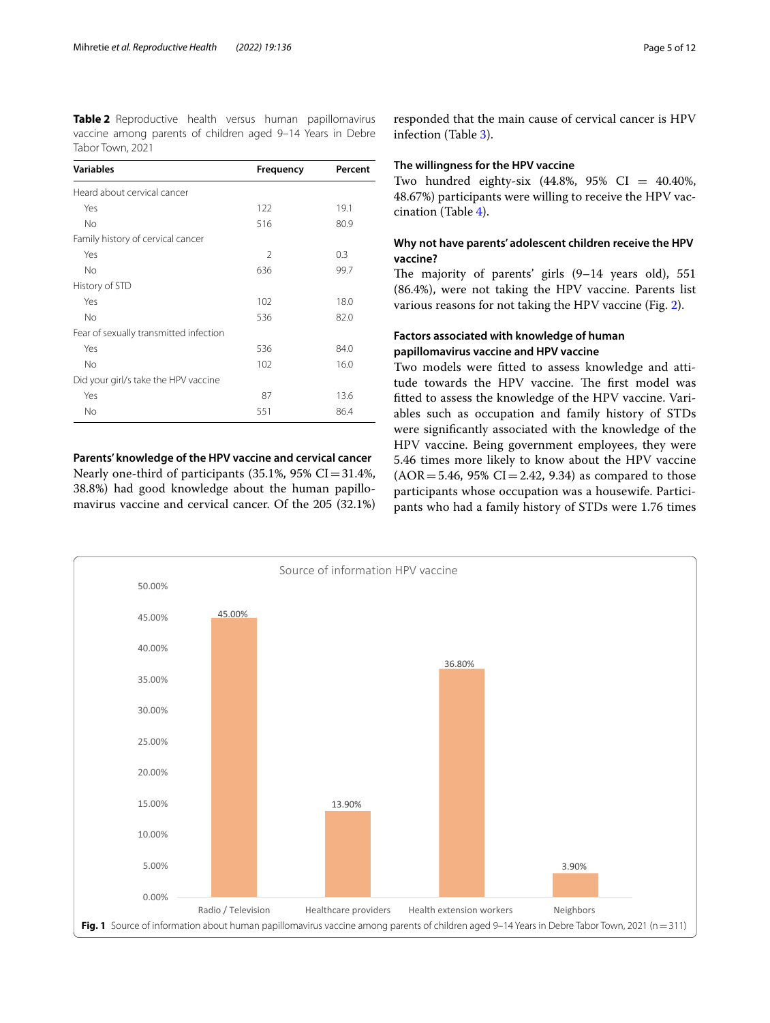<span id="page-4-0"></span>**Table 2** Reproductive health versus human papillomavirus vaccine among parents of children aged 9–14 Years in Debre Tabor Town, 2021

| <b>Variables</b>                       | Frequency      | Percent |
|----------------------------------------|----------------|---------|
| Heard about cervical cancer            |                |         |
| Yes                                    | 122            | 19.1    |
| <b>No</b>                              | 516            | 80.9    |
| Family history of cervical cancer      |                |         |
| Yes                                    | $\mathfrak{D}$ | 0.3     |
| N <sub>o</sub>                         | 636            | 99.7    |
| History of STD                         |                |         |
| Yes                                    | 102            | 18.0    |
| No                                     | 536            | 82.0    |
| Fear of sexually transmitted infection |                |         |
| Yes                                    | 536            | 84.0    |
| <b>No</b>                              | 102            | 16.0    |
| Did your girl/s take the HPV vaccine   |                |         |
| Yes                                    | 87             | 13.6    |
| <b>No</b>                              | 551            | 86.4    |

**Parents' knowledge of the HPV vaccine and cervical cancer** Nearly one-third of participants  $(35.1\%, 95\% \text{ CI} = 31.4\%,$ 38.8%) had good knowledge about the human papillomavirus vaccine and cervical cancer. Of the 205 (32.1%)

responded that the main cause of cervical cancer is HPV infection (Table [3](#page-5-0)).

## **The willingness for the HPV vaccine**

Two hundred eighty-six (44.8%, 95% CI = 40.40%, 48.67%) participants were willing to receive the HPV vaccination (Table [4](#page-6-0)).

## **Why not have parents' adolescent children receive the HPV vaccine?**

The majority of parents' girls  $(9-14$  years old), 551 (86.4%), were not taking the HPV vaccine. Parents list various reasons for not taking the HPV vaccine (Fig. [2](#page-7-0)).

## **Factors associated with knowledge of human papillomavirus vaccine and HPV vaccine**

Two models were ftted to assess knowledge and attitude towards the HPV vaccine. The first model was ftted to assess the knowledge of the HPV vaccine. Variables such as occupation and family history of STDs were signifcantly associated with the knowledge of the HPV vaccine. Being government employees, they were 5.46 times more likely to know about the HPV vaccine  $(AOR = 5.46, 95\% CI = 2.42, 9.34)$  as compared to those participants whose occupation was a housewife. Participants who had a family history of STDs were 1.76 times

<span id="page-4-1"></span>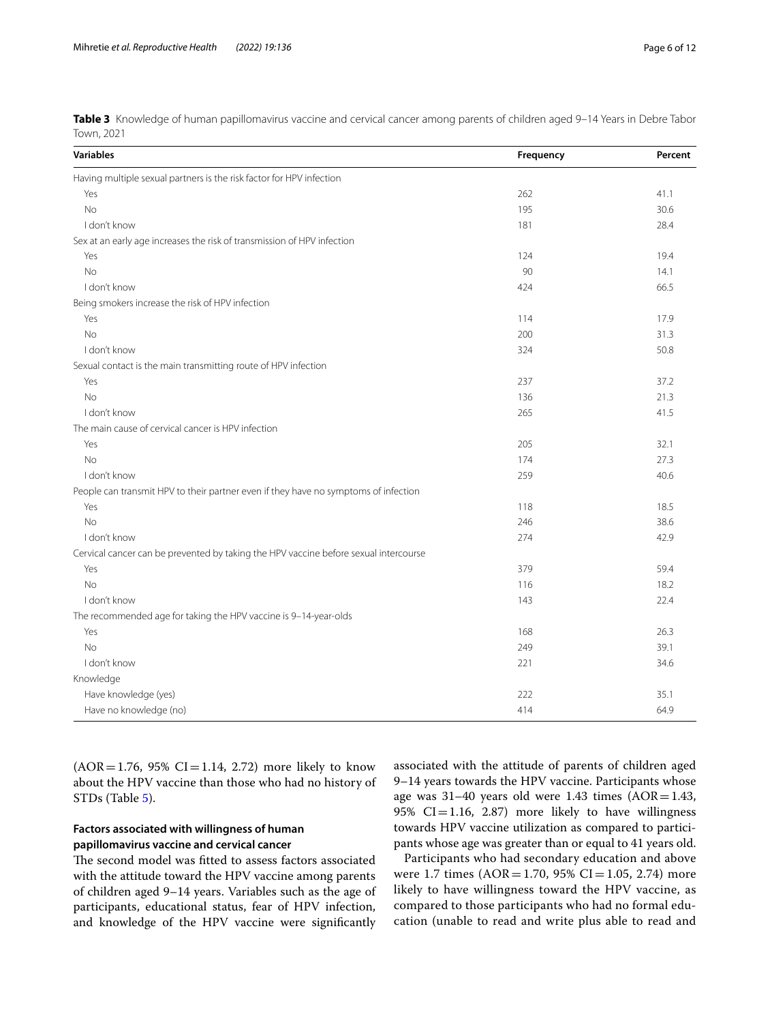<span id="page-5-0"></span>**Table 3** Knowledge of human papillomavirus vaccine and cervical cancer among parents of children aged 9-14 Years in Debre Tabor Town, 2021

| <b>Variables</b>                                                                     | Frequency | Percent |
|--------------------------------------------------------------------------------------|-----------|---------|
| Having multiple sexual partners is the risk factor for HPV infection                 |           |         |
| Yes                                                                                  | 262       | 41.1    |
| <b>No</b>                                                                            | 195       | 30.6    |
| I don't know                                                                         | 181       | 28.4    |
| Sex at an early age increases the risk of transmission of HPV infection              |           |         |
| Yes                                                                                  | 124       | 19.4    |
| <b>No</b>                                                                            | 90        | 14.1    |
| I don't know                                                                         | 424       | 66.5    |
| Being smokers increase the risk of HPV infection                                     |           |         |
| Yes                                                                                  | 114       | 17.9    |
| <b>No</b>                                                                            | 200       | 31.3    |
| I don't know                                                                         | 324       | 50.8    |
| Sexual contact is the main transmitting route of HPV infection                       |           |         |
| Yes                                                                                  | 237       | 37.2    |
| <b>No</b>                                                                            | 136       | 21.3    |
| I don't know                                                                         | 265       | 41.5    |
| The main cause of cervical cancer is HPV infection                                   |           |         |
| Yes                                                                                  | 205       | 32.1    |
| <b>No</b>                                                                            | 174       | 27.3    |
| I don't know                                                                         | 259       | 40.6    |
| People can transmit HPV to their partner even if they have no symptoms of infection  |           |         |
| Yes                                                                                  | 118       | 18.5    |
| <b>No</b>                                                                            | 246       | 38.6    |
| I don't know                                                                         | 274       | 42.9    |
| Cervical cancer can be prevented by taking the HPV vaccine before sexual intercourse |           |         |
| Yes                                                                                  | 379       | 59.4    |
| <b>No</b>                                                                            | 116       | 18.2    |
| I don't know                                                                         | 143       | 22.4    |
| The recommended age for taking the HPV vaccine is 9-14-year-olds                     |           |         |
| Yes                                                                                  | 168       | 26.3    |
| <b>No</b>                                                                            | 249       | 39.1    |
| I don't know                                                                         | 221       | 34.6    |
| Knowledge                                                                            |           |         |
| Have knowledge (yes)                                                                 | 222       | 35.1    |
| Have no knowledge (no)                                                               | 414       | 64.9    |

 $(AOR = 1.76, 95\% CI = 1.14, 2.72)$  more likely to know about the HPV vaccine than those who had no history of STDs (Table [5\)](#page-8-0).

## **Factors associated with willingness of human papillomavirus vaccine and cervical cancer**

The second model was fitted to assess factors associated with the attitude toward the HPV vaccine among parents of children aged 9–14 years. Variables such as the age of participants, educational status, fear of HPV infection, and knowledge of the HPV vaccine were signifcantly associated with the attitude of parents of children aged 9–14 years towards the HPV vaccine. Participants whose age was  $31-40$  years old were 1.43 times (AOR=1.43, 95%  $CI = 1.16$ , 2.87) more likely to have willingness towards HPV vaccine utilization as compared to participants whose age was greater than or equal to 41 years old.

Participants who had secondary education and above were 1.7 times (AOR=1.70, 95% CI=1.05, 2.74) more likely to have willingness toward the HPV vaccine, as compared to those participants who had no formal education (unable to read and write plus able to read and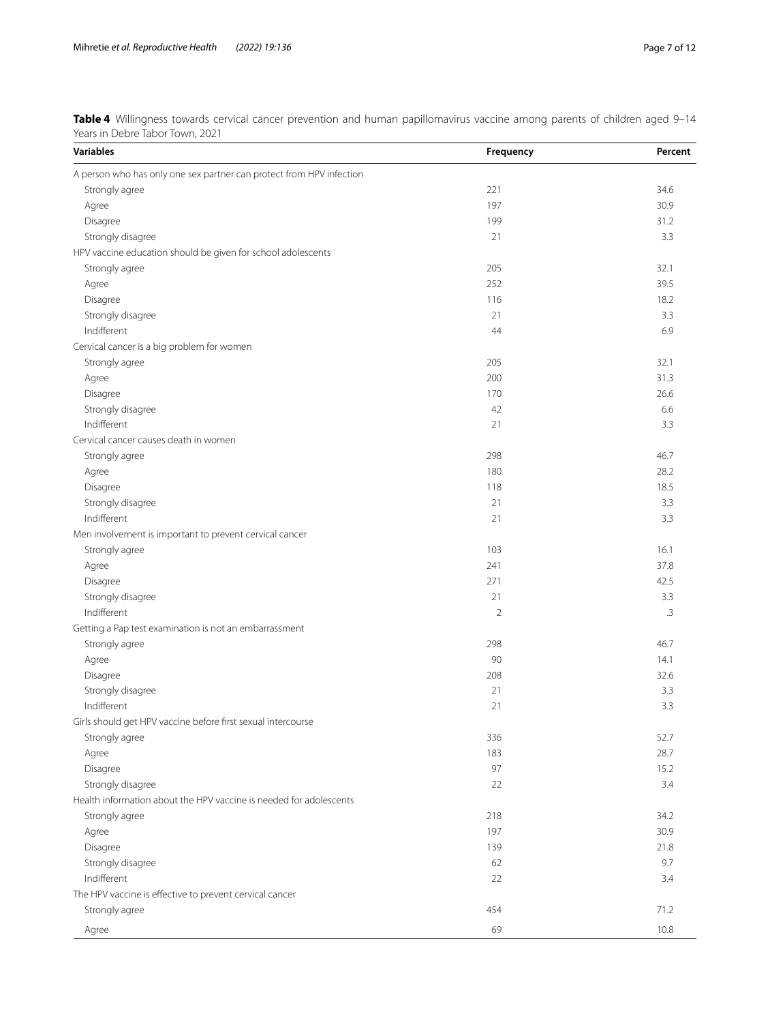<span id="page-6-0"></span>**Table 4** Willingness towards cervical cancer prevention and human papillomavirus vaccine among parents of children aged 9–14 Years in Debre Tabor Town, 2021

| A person who has only one sex partner can protect from HPV infection<br>221<br>34.6<br>Strongly agree<br>197<br>30.9<br>Agree<br>31.2<br>199<br>Disagree<br>3.3<br>Strongly disagree<br>21<br>HPV vaccine education should be given for school adolescents<br>205<br>32.1<br>Strongly agree<br>252<br>39.5<br>Agree<br>116<br>18.2<br>Disagree<br>3.3<br>Strongly disagree<br>21<br>Indifferent<br>6.9<br>44<br>Cervical cancer is a big problem for women<br>Strongly agree<br>205<br>32.1<br>200<br>31.3<br>Agree<br>170<br>26.6<br>Disagree<br>Strongly disagree<br>42<br>6.6<br>Indifferent<br>3.3<br>21<br>Cervical cancer causes death in women<br>Strongly agree<br>298<br>46.7<br>28.2<br>180<br>Agree<br>18.5<br>Disagree<br>118<br>3.3<br>Strongly disagree<br>21<br>Indifferent<br>3.3<br>21<br>Men involvement is important to prevent cervical cancer<br>Strongly agree<br>103<br>16.1<br>241<br>37.8<br>Agree<br>42.5<br>271<br>Disagree<br>Strongly disagree<br>21<br>3.3<br>Indifferent<br>$\overline{2}$<br>$\cdot$ 3<br>Getting a Pap test examination is not an embarrassment<br>298<br>46.7<br>Strongly agree<br>90<br>14.1<br>Agree<br>208<br>32.6<br>Disagree<br>Strongly disagree<br>21<br>3.3<br>Indifferent<br>21<br>3.3<br>Girls should get HPV vaccine before first sexual intercourse<br>52.7<br>336<br>Strongly agree<br>Agree<br>183<br>28.7<br>97<br>Disagree<br>15.2<br>Strongly disagree<br>22<br>3.4<br>Health information about the HPV vaccine is needed for adolescents<br>Strongly agree<br>218<br>34.2<br>197<br>30.9<br>Agree<br>Disagree<br>21.8<br>139<br>Strongly disagree<br>9.7<br>62<br>Indifferent<br>22<br>3.4<br>The HPV vaccine is effective to prevent cervical cancer<br>71.2<br>Strongly agree<br>454<br>69 | <b>Variables</b> | Frequency | Percent |
|------------------------------------------------------------------------------------------------------------------------------------------------------------------------------------------------------------------------------------------------------------------------------------------------------------------------------------------------------------------------------------------------------------------------------------------------------------------------------------------------------------------------------------------------------------------------------------------------------------------------------------------------------------------------------------------------------------------------------------------------------------------------------------------------------------------------------------------------------------------------------------------------------------------------------------------------------------------------------------------------------------------------------------------------------------------------------------------------------------------------------------------------------------------------------------------------------------------------------------------------------------------------------------------------------------------------------------------------------------------------------------------------------------------------------------------------------------------------------------------------------------------------------------------------------------------------------------------------------------------------------------------------------------------------------------------------------------------------------------------------------------------|------------------|-----------|---------|
|                                                                                                                                                                                                                                                                                                                                                                                                                                                                                                                                                                                                                                                                                                                                                                                                                                                                                                                                                                                                                                                                                                                                                                                                                                                                                                                                                                                                                                                                                                                                                                                                                                                                                                                                                                  |                  |           |         |
|                                                                                                                                                                                                                                                                                                                                                                                                                                                                                                                                                                                                                                                                                                                                                                                                                                                                                                                                                                                                                                                                                                                                                                                                                                                                                                                                                                                                                                                                                                                                                                                                                                                                                                                                                                  |                  |           |         |
|                                                                                                                                                                                                                                                                                                                                                                                                                                                                                                                                                                                                                                                                                                                                                                                                                                                                                                                                                                                                                                                                                                                                                                                                                                                                                                                                                                                                                                                                                                                                                                                                                                                                                                                                                                  |                  |           |         |
|                                                                                                                                                                                                                                                                                                                                                                                                                                                                                                                                                                                                                                                                                                                                                                                                                                                                                                                                                                                                                                                                                                                                                                                                                                                                                                                                                                                                                                                                                                                                                                                                                                                                                                                                                                  |                  |           |         |
|                                                                                                                                                                                                                                                                                                                                                                                                                                                                                                                                                                                                                                                                                                                                                                                                                                                                                                                                                                                                                                                                                                                                                                                                                                                                                                                                                                                                                                                                                                                                                                                                                                                                                                                                                                  |                  |           |         |
|                                                                                                                                                                                                                                                                                                                                                                                                                                                                                                                                                                                                                                                                                                                                                                                                                                                                                                                                                                                                                                                                                                                                                                                                                                                                                                                                                                                                                                                                                                                                                                                                                                                                                                                                                                  |                  |           |         |
|                                                                                                                                                                                                                                                                                                                                                                                                                                                                                                                                                                                                                                                                                                                                                                                                                                                                                                                                                                                                                                                                                                                                                                                                                                                                                                                                                                                                                                                                                                                                                                                                                                                                                                                                                                  |                  |           |         |
|                                                                                                                                                                                                                                                                                                                                                                                                                                                                                                                                                                                                                                                                                                                                                                                                                                                                                                                                                                                                                                                                                                                                                                                                                                                                                                                                                                                                                                                                                                                                                                                                                                                                                                                                                                  |                  |           |         |
|                                                                                                                                                                                                                                                                                                                                                                                                                                                                                                                                                                                                                                                                                                                                                                                                                                                                                                                                                                                                                                                                                                                                                                                                                                                                                                                                                                                                                                                                                                                                                                                                                                                                                                                                                                  |                  |           |         |
|                                                                                                                                                                                                                                                                                                                                                                                                                                                                                                                                                                                                                                                                                                                                                                                                                                                                                                                                                                                                                                                                                                                                                                                                                                                                                                                                                                                                                                                                                                                                                                                                                                                                                                                                                                  |                  |           |         |
|                                                                                                                                                                                                                                                                                                                                                                                                                                                                                                                                                                                                                                                                                                                                                                                                                                                                                                                                                                                                                                                                                                                                                                                                                                                                                                                                                                                                                                                                                                                                                                                                                                                                                                                                                                  |                  |           |         |
|                                                                                                                                                                                                                                                                                                                                                                                                                                                                                                                                                                                                                                                                                                                                                                                                                                                                                                                                                                                                                                                                                                                                                                                                                                                                                                                                                                                                                                                                                                                                                                                                                                                                                                                                                                  |                  |           |         |
|                                                                                                                                                                                                                                                                                                                                                                                                                                                                                                                                                                                                                                                                                                                                                                                                                                                                                                                                                                                                                                                                                                                                                                                                                                                                                                                                                                                                                                                                                                                                                                                                                                                                                                                                                                  |                  |           |         |
|                                                                                                                                                                                                                                                                                                                                                                                                                                                                                                                                                                                                                                                                                                                                                                                                                                                                                                                                                                                                                                                                                                                                                                                                                                                                                                                                                                                                                                                                                                                                                                                                                                                                                                                                                                  |                  |           |         |
|                                                                                                                                                                                                                                                                                                                                                                                                                                                                                                                                                                                                                                                                                                                                                                                                                                                                                                                                                                                                                                                                                                                                                                                                                                                                                                                                                                                                                                                                                                                                                                                                                                                                                                                                                                  |                  |           |         |
|                                                                                                                                                                                                                                                                                                                                                                                                                                                                                                                                                                                                                                                                                                                                                                                                                                                                                                                                                                                                                                                                                                                                                                                                                                                                                                                                                                                                                                                                                                                                                                                                                                                                                                                                                                  |                  |           |         |
|                                                                                                                                                                                                                                                                                                                                                                                                                                                                                                                                                                                                                                                                                                                                                                                                                                                                                                                                                                                                                                                                                                                                                                                                                                                                                                                                                                                                                                                                                                                                                                                                                                                                                                                                                                  |                  |           |         |
|                                                                                                                                                                                                                                                                                                                                                                                                                                                                                                                                                                                                                                                                                                                                                                                                                                                                                                                                                                                                                                                                                                                                                                                                                                                                                                                                                                                                                                                                                                                                                                                                                                                                                                                                                                  |                  |           |         |
|                                                                                                                                                                                                                                                                                                                                                                                                                                                                                                                                                                                                                                                                                                                                                                                                                                                                                                                                                                                                                                                                                                                                                                                                                                                                                                                                                                                                                                                                                                                                                                                                                                                                                                                                                                  |                  |           |         |
|                                                                                                                                                                                                                                                                                                                                                                                                                                                                                                                                                                                                                                                                                                                                                                                                                                                                                                                                                                                                                                                                                                                                                                                                                                                                                                                                                                                                                                                                                                                                                                                                                                                                                                                                                                  |                  |           |         |
|                                                                                                                                                                                                                                                                                                                                                                                                                                                                                                                                                                                                                                                                                                                                                                                                                                                                                                                                                                                                                                                                                                                                                                                                                                                                                                                                                                                                                                                                                                                                                                                                                                                                                                                                                                  |                  |           |         |
|                                                                                                                                                                                                                                                                                                                                                                                                                                                                                                                                                                                                                                                                                                                                                                                                                                                                                                                                                                                                                                                                                                                                                                                                                                                                                                                                                                                                                                                                                                                                                                                                                                                                                                                                                                  |                  |           |         |
|                                                                                                                                                                                                                                                                                                                                                                                                                                                                                                                                                                                                                                                                                                                                                                                                                                                                                                                                                                                                                                                                                                                                                                                                                                                                                                                                                                                                                                                                                                                                                                                                                                                                                                                                                                  |                  |           |         |
|                                                                                                                                                                                                                                                                                                                                                                                                                                                                                                                                                                                                                                                                                                                                                                                                                                                                                                                                                                                                                                                                                                                                                                                                                                                                                                                                                                                                                                                                                                                                                                                                                                                                                                                                                                  |                  |           |         |
|                                                                                                                                                                                                                                                                                                                                                                                                                                                                                                                                                                                                                                                                                                                                                                                                                                                                                                                                                                                                                                                                                                                                                                                                                                                                                                                                                                                                                                                                                                                                                                                                                                                                                                                                                                  |                  |           |         |
|                                                                                                                                                                                                                                                                                                                                                                                                                                                                                                                                                                                                                                                                                                                                                                                                                                                                                                                                                                                                                                                                                                                                                                                                                                                                                                                                                                                                                                                                                                                                                                                                                                                                                                                                                                  |                  |           |         |
|                                                                                                                                                                                                                                                                                                                                                                                                                                                                                                                                                                                                                                                                                                                                                                                                                                                                                                                                                                                                                                                                                                                                                                                                                                                                                                                                                                                                                                                                                                                                                                                                                                                                                                                                                                  |                  |           |         |
|                                                                                                                                                                                                                                                                                                                                                                                                                                                                                                                                                                                                                                                                                                                                                                                                                                                                                                                                                                                                                                                                                                                                                                                                                                                                                                                                                                                                                                                                                                                                                                                                                                                                                                                                                                  |                  |           |         |
|                                                                                                                                                                                                                                                                                                                                                                                                                                                                                                                                                                                                                                                                                                                                                                                                                                                                                                                                                                                                                                                                                                                                                                                                                                                                                                                                                                                                                                                                                                                                                                                                                                                                                                                                                                  |                  |           |         |
|                                                                                                                                                                                                                                                                                                                                                                                                                                                                                                                                                                                                                                                                                                                                                                                                                                                                                                                                                                                                                                                                                                                                                                                                                                                                                                                                                                                                                                                                                                                                                                                                                                                                                                                                                                  |                  |           |         |
|                                                                                                                                                                                                                                                                                                                                                                                                                                                                                                                                                                                                                                                                                                                                                                                                                                                                                                                                                                                                                                                                                                                                                                                                                                                                                                                                                                                                                                                                                                                                                                                                                                                                                                                                                                  |                  |           |         |
|                                                                                                                                                                                                                                                                                                                                                                                                                                                                                                                                                                                                                                                                                                                                                                                                                                                                                                                                                                                                                                                                                                                                                                                                                                                                                                                                                                                                                                                                                                                                                                                                                                                                                                                                                                  |                  |           |         |
|                                                                                                                                                                                                                                                                                                                                                                                                                                                                                                                                                                                                                                                                                                                                                                                                                                                                                                                                                                                                                                                                                                                                                                                                                                                                                                                                                                                                                                                                                                                                                                                                                                                                                                                                                                  |                  |           |         |
|                                                                                                                                                                                                                                                                                                                                                                                                                                                                                                                                                                                                                                                                                                                                                                                                                                                                                                                                                                                                                                                                                                                                                                                                                                                                                                                                                                                                                                                                                                                                                                                                                                                                                                                                                                  |                  |           |         |
|                                                                                                                                                                                                                                                                                                                                                                                                                                                                                                                                                                                                                                                                                                                                                                                                                                                                                                                                                                                                                                                                                                                                                                                                                                                                                                                                                                                                                                                                                                                                                                                                                                                                                                                                                                  |                  |           |         |
|                                                                                                                                                                                                                                                                                                                                                                                                                                                                                                                                                                                                                                                                                                                                                                                                                                                                                                                                                                                                                                                                                                                                                                                                                                                                                                                                                                                                                                                                                                                                                                                                                                                                                                                                                                  |                  |           |         |
|                                                                                                                                                                                                                                                                                                                                                                                                                                                                                                                                                                                                                                                                                                                                                                                                                                                                                                                                                                                                                                                                                                                                                                                                                                                                                                                                                                                                                                                                                                                                                                                                                                                                                                                                                                  |                  |           |         |
|                                                                                                                                                                                                                                                                                                                                                                                                                                                                                                                                                                                                                                                                                                                                                                                                                                                                                                                                                                                                                                                                                                                                                                                                                                                                                                                                                                                                                                                                                                                                                                                                                                                                                                                                                                  |                  |           |         |
|                                                                                                                                                                                                                                                                                                                                                                                                                                                                                                                                                                                                                                                                                                                                                                                                                                                                                                                                                                                                                                                                                                                                                                                                                                                                                                                                                                                                                                                                                                                                                                                                                                                                                                                                                                  |                  |           |         |
|                                                                                                                                                                                                                                                                                                                                                                                                                                                                                                                                                                                                                                                                                                                                                                                                                                                                                                                                                                                                                                                                                                                                                                                                                                                                                                                                                                                                                                                                                                                                                                                                                                                                                                                                                                  |                  |           |         |
|                                                                                                                                                                                                                                                                                                                                                                                                                                                                                                                                                                                                                                                                                                                                                                                                                                                                                                                                                                                                                                                                                                                                                                                                                                                                                                                                                                                                                                                                                                                                                                                                                                                                                                                                                                  |                  |           |         |
|                                                                                                                                                                                                                                                                                                                                                                                                                                                                                                                                                                                                                                                                                                                                                                                                                                                                                                                                                                                                                                                                                                                                                                                                                                                                                                                                                                                                                                                                                                                                                                                                                                                                                                                                                                  |                  |           |         |
|                                                                                                                                                                                                                                                                                                                                                                                                                                                                                                                                                                                                                                                                                                                                                                                                                                                                                                                                                                                                                                                                                                                                                                                                                                                                                                                                                                                                                                                                                                                                                                                                                                                                                                                                                                  |                  |           |         |
|                                                                                                                                                                                                                                                                                                                                                                                                                                                                                                                                                                                                                                                                                                                                                                                                                                                                                                                                                                                                                                                                                                                                                                                                                                                                                                                                                                                                                                                                                                                                                                                                                                                                                                                                                                  |                  |           |         |
|                                                                                                                                                                                                                                                                                                                                                                                                                                                                                                                                                                                                                                                                                                                                                                                                                                                                                                                                                                                                                                                                                                                                                                                                                                                                                                                                                                                                                                                                                                                                                                                                                                                                                                                                                                  |                  |           |         |
|                                                                                                                                                                                                                                                                                                                                                                                                                                                                                                                                                                                                                                                                                                                                                                                                                                                                                                                                                                                                                                                                                                                                                                                                                                                                                                                                                                                                                                                                                                                                                                                                                                                                                                                                                                  |                  |           |         |
|                                                                                                                                                                                                                                                                                                                                                                                                                                                                                                                                                                                                                                                                                                                                                                                                                                                                                                                                                                                                                                                                                                                                                                                                                                                                                                                                                                                                                                                                                                                                                                                                                                                                                                                                                                  |                  |           |         |
|                                                                                                                                                                                                                                                                                                                                                                                                                                                                                                                                                                                                                                                                                                                                                                                                                                                                                                                                                                                                                                                                                                                                                                                                                                                                                                                                                                                                                                                                                                                                                                                                                                                                                                                                                                  |                  |           |         |
|                                                                                                                                                                                                                                                                                                                                                                                                                                                                                                                                                                                                                                                                                                                                                                                                                                                                                                                                                                                                                                                                                                                                                                                                                                                                                                                                                                                                                                                                                                                                                                                                                                                                                                                                                                  | Agree            |           | 10.8    |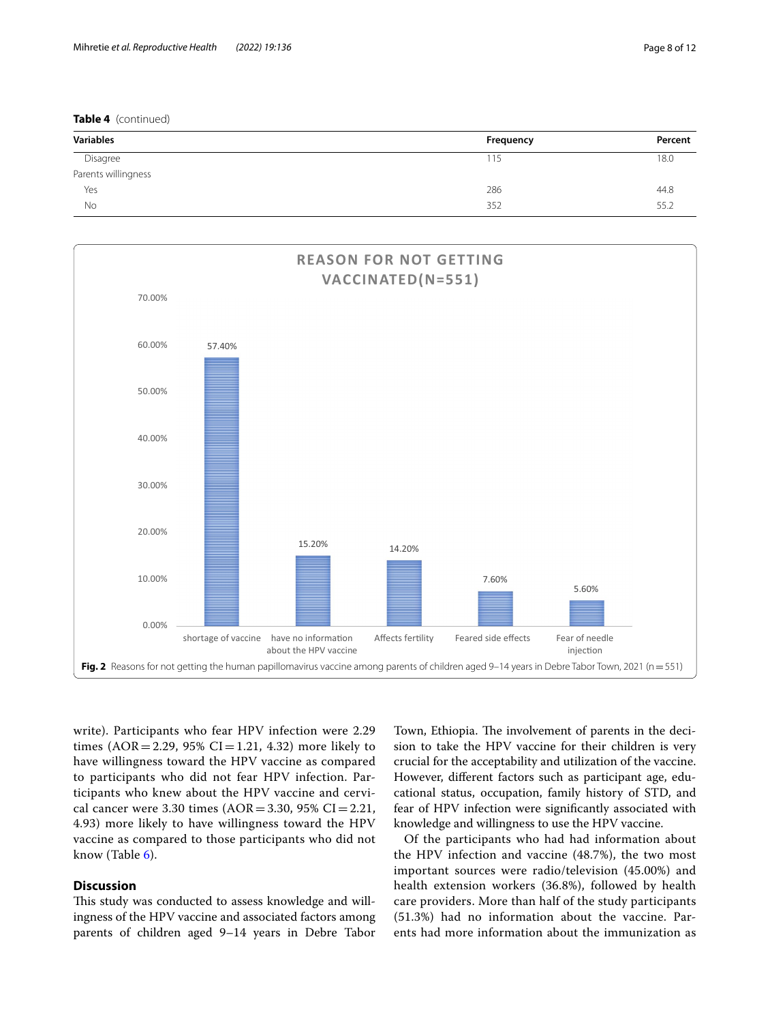**Table 4** (continued)

| <b>Variables</b>    | Frequency | Percent |
|---------------------|-----------|---------|
| Disagree            | 115       | 18.0    |
| Parents willingness |           |         |
| Yes                 | 286       | 44.8    |
| No                  | 352       | 55.2    |



<span id="page-7-0"></span>write). Participants who fear HPV infection were 2.29 times  $(AOR = 2.29, 95\% CI = 1.21, 4.32)$  more likely to have willingness toward the HPV vaccine as compared to participants who did not fear HPV infection. Participants who knew about the HPV vaccine and cervical cancer were 3.30 times  $(AOR = 3.30, 95\% \text{ CI} = 2.21,$ 4.93) more likely to have willingness toward the HPV vaccine as compared to those participants who did not know (Table [6](#page-8-1)).

## **Discussion**

This study was conducted to assess knowledge and willingness of the HPV vaccine and associated factors among parents of children aged 9–14 years in Debre Tabor

Town, Ethiopia. The involvement of parents in the decision to take the HPV vaccine for their children is very crucial for the acceptability and utilization of the vaccine. However, diferent factors such as participant age, educational status, occupation, family history of STD, and fear of HPV infection were signifcantly associated with knowledge and willingness to use the HPV vaccine.

Of the participants who had had information about the HPV infection and vaccine (48.7%), the two most important sources were radio/television (45.00%) and health extension workers (36.8%), followed by health care providers. More than half of the study participants (51.3%) had no information about the vaccine. Parents had more information about the immunization as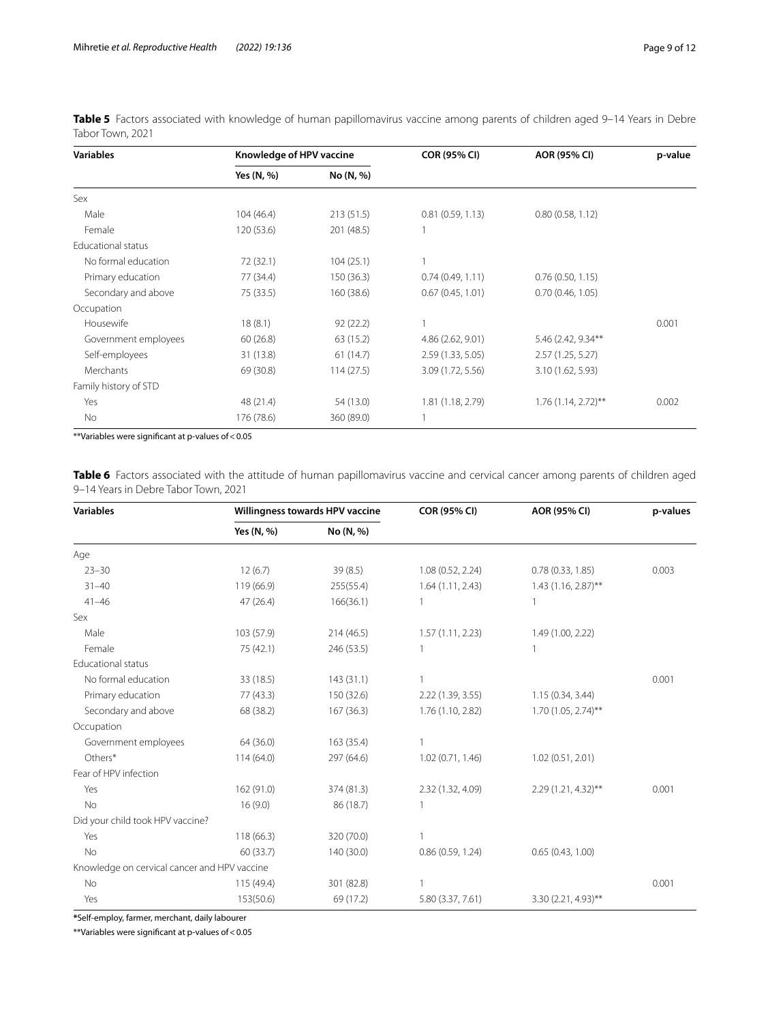<span id="page-8-0"></span>

| Table 5 Factors associated with knowledge of human papillomavirus vaccine among parents of children aged 9-14 Years in Debre |  |  |  |
|------------------------------------------------------------------------------------------------------------------------------|--|--|--|
| Tabor Town, 2021                                                                                                             |  |  |  |

| <b>Variables</b>      | Knowledge of HPV vaccine |            | <b>COR (95% CI)</b> | AOR (95% CI)          | p-value |
|-----------------------|--------------------------|------------|---------------------|-----------------------|---------|
|                       | Yes (N, %)               | No (N, %)  |                     |                       |         |
| Sex                   |                          |            |                     |                       |         |
| Male                  | 104(46.4)                | 213(51.5)  | 0.81(0.59, 1.13)    | 0.80(0.58, 1.12)      |         |
| Female                | 120 (53.6)               | 201 (48.5) |                     |                       |         |
| Educational status    |                          |            |                     |                       |         |
| No formal education   | 72 (32.1)                | 104(25.1)  |                     |                       |         |
| Primary education     | 77 (34.4)                | 150(36.3)  | 0.74(0.49, 1.11)    | 0.76(0.50, 1.15)      |         |
| Secondary and above   | 75 (33.5)                | 160 (38.6) | 0.67(0.45, 1.01)    | 0.70(0.46, 1.05)      |         |
| Occupation            |                          |            |                     |                       |         |
| Housewife             | 18(8.1)                  | 92(22.2)   |                     |                       | 0.001   |
| Government employees  | 60(26.8)                 | 63 (15.2)  | 4.86 (2.62, 9.01)   | 5.46 (2.42, 9.34**    |         |
| Self-employees        | 31 (13.8)                | 61(14.7)   | 2.59 (1.33, 5.05)   | 2.57(1.25, 5.27)      |         |
| Merchants             | 69 (30.8)                | 114(27.5)  | 3.09 (1.72, 5.56)   | 3.10 (1.62, 5.93)     |         |
| Family history of STD |                          |            |                     |                       |         |
| Yes                   | 48 (21.4)                | 54 (13.0)  | 1.81 (1.18, 2.79)   | $1.76(1.14, 2.72)$ ** | 0.002   |
| No                    | 176 (78.6)               | 360 (89.0) |                     |                       |         |

\*\*Variables were signifcant at p-values of<0.05

<span id="page-8-1"></span>Table 6 Factors associated with the attitude of human papillomavirus vaccine and cervical cancer among parents of children aged 9–14 Years in Debre Tabor Town, 2021

| <b>Variables</b>                             | Willingness towards HPV vaccine |            | <b>COR (95% CI)</b> | AOR (95% CI)          | p-values |
|----------------------------------------------|---------------------------------|------------|---------------------|-----------------------|----------|
|                                              | Yes (N, %)                      | No (N, %)  |                     |                       |          |
| Age                                          |                                 |            |                     |                       |          |
| $23 - 30$                                    | 12(6.7)                         | 39(8.5)    | 1.08 (0.52, 2.24)   | 0.78(0.33, 1.85)      | 0.003    |
| $31 - 40$                                    | 119 (66.9)                      | 255(55.4)  | 1.64(1.11, 2.43)    | $1.43$ (1.16, 2.87)** |          |
| $41 - 46$                                    | 47 (26.4)                       | 166(36.1)  |                     |                       |          |
| Sex                                          |                                 |            |                     |                       |          |
| Male                                         | 103 (57.9)                      | 214(46.5)  | 1.57(1.11, 2.23)    | 1.49 (1.00, 2.22)     |          |
| Female                                       | 75 (42.1)                       | 246 (53.5) |                     |                       |          |
| <b>Educational status</b>                    |                                 |            |                     |                       |          |
| No formal education                          | 33 (18.5)                       | 143(31.1)  |                     |                       | 0.001    |
| Primary education                            | 77(43.3)                        | 150 (32.6) | 2.22 (1.39, 3.55)   | 1.15(0.34, 3.44)      |          |
| Secondary and above                          | 68 (38.2)                       | 167 (36.3) | 1.76 (1.10, 2.82)   | 1.70 (1.05, 2.74)**   |          |
| Occupation                                   |                                 |            |                     |                       |          |
| Government employees                         | 64 (36.0)                       | 163 (35.4) |                     |                       |          |
| Others*                                      | 114 (64.0)                      | 297 (64.6) | 1.02(0.71, 1.46)    | 1.02(0.51, 2.01)      |          |
| Fear of HPV infection                        |                                 |            |                     |                       |          |
| Yes                                          | 162 (91.0)                      | 374 (81.3) | 2.32 (1.32, 4.09)   | 2.29 (1.21, 4.32)**   | 0.001    |
| No                                           | 16(9.0)                         | 86 (18.7)  |                     |                       |          |
| Did your child took HPV vaccine?             |                                 |            |                     |                       |          |
| Yes                                          | 118(66.3)                       | 320 (70.0) |                     |                       |          |
| No                                           | 60 (33.7)                       | 140 (30.0) | 0.86(0.59, 1.24)    | 0.65(0.43, 1.00)      |          |
| Knowledge on cervical cancer and HPV vaccine |                                 |            |                     |                       |          |
| No                                           | 115 (49.4)                      | 301 (82.8) |                     |                       | 0.001    |
| Yes                                          | 153(50.6)                       | 69 (17.2)  | 5.80 (3.37, 7.61)   | 3.30 (2.21, 4.93)**   |          |

**\***Self-employ, farmer, merchant, daily labourer

 $**$ Variables were significant at p-values of  $<$  0.05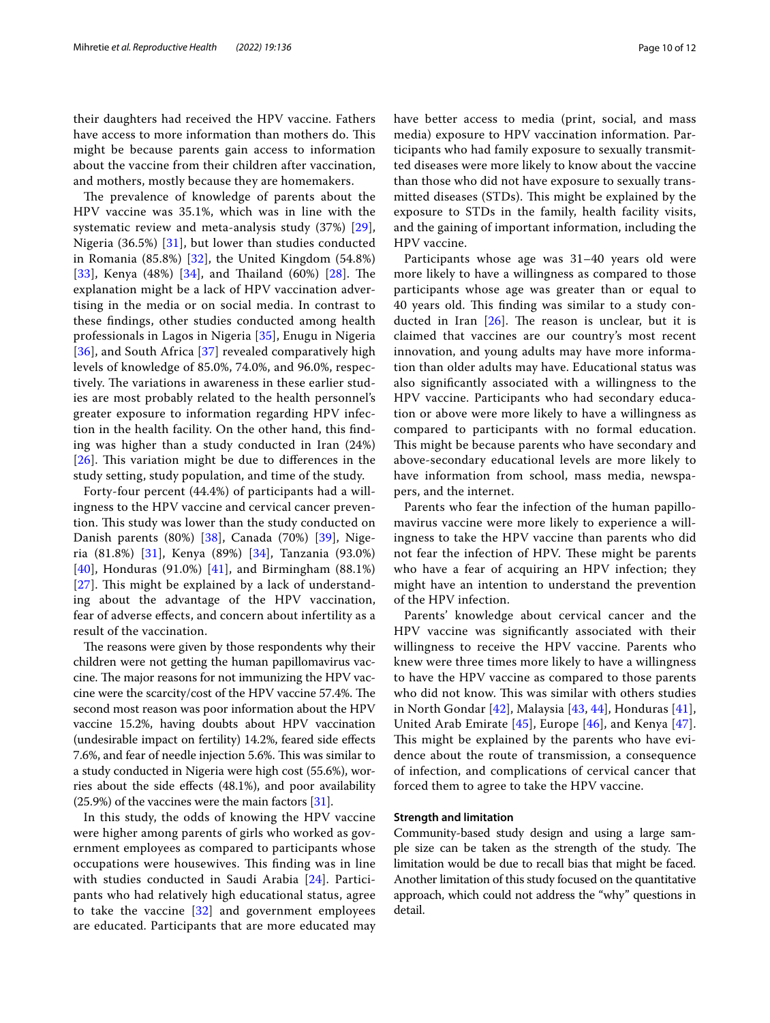their daughters had received the HPV vaccine. Fathers have access to more information than mothers do. This might be because parents gain access to information about the vaccine from their children after vaccination, and mothers, mostly because they are homemakers.

The prevalence of knowledge of parents about the HPV vaccine was 35.1%, which was in line with the systematic review and meta-analysis study (37%) [[29](#page-11-0)], Nigeria (36.5%) [[31\]](#page-11-2), but lower than studies conducted in Romania (85.8%) [[32\]](#page-11-3), the United Kingdom (54.8%) [[33](#page-11-4)], Kenya (48%) [[34](#page-11-5)], and Thailand (60%) [[28\]](#page-10-25). The explanation might be a lack of HPV vaccination advertising in the media or on social media. In contrast to these fndings, other studies conducted among health professionals in Lagos in Nigeria [\[35\]](#page-11-6), Enugu in Nigeria [[36](#page-11-7)], and South Africa [\[37](#page-11-8)] revealed comparatively high levels of knowledge of 85.0%, 74.0%, and 96.0%, respectively. The variations in awareness in these earlier studies are most probably related to the health personnel's greater exposure to information regarding HPV infection in the health facility. On the other hand, this fnding was higher than a study conducted in Iran (24%)  $[26]$  $[26]$  $[26]$ . This variation might be due to differences in the study setting, study population, and time of the study.

Forty-four percent (44.4%) of participants had a willingness to the HPV vaccine and cervical cancer prevention. This study was lower than the study conducted on Danish parents (80%) [[38\]](#page-11-9), Canada (70%) [[39\]](#page-11-10), Nigeria (81.8%) [\[31](#page-11-2)], Kenya (89%) [[34\]](#page-11-5), Tanzania (93.0%) [[40](#page-11-11)], Honduras (91.0%) [[41\]](#page-11-12), and Birmingham (88.1%)  $[27]$  $[27]$  $[27]$ . This might be explained by a lack of understanding about the advantage of the HPV vaccination, fear of adverse efects, and concern about infertility as a result of the vaccination.

The reasons were given by those respondents why their children were not getting the human papillomavirus vaccine. The major reasons for not immunizing the HPV vaccine were the scarcity/cost of the HPV vaccine  $57.4\%$ . The second most reason was poor information about the HPV vaccine 15.2%, having doubts about HPV vaccination (undesirable impact on fertility) 14.2%, feared side efects 7.6%, and fear of needle injection 5.6%. This was similar to a study conducted in Nigeria were high cost (55.6%), worries about the side efects (48.1%), and poor availability  $(25.9%)$  of the vaccines were the main factors  $[31]$  $[31]$ .

In this study, the odds of knowing the HPV vaccine were higher among parents of girls who worked as government employees as compared to participants whose occupations were housewives. This finding was in line with studies conducted in Saudi Arabia [[24](#page-10-20)]. Participants who had relatively high educational status, agree to take the vaccine [\[32\]](#page-11-3) and government employees are educated. Participants that are more educated may have better access to media (print, social, and mass media) exposure to HPV vaccination information. Participants who had family exposure to sexually transmitted diseases were more likely to know about the vaccine than those who did not have exposure to sexually transmitted diseases (STDs). This might be explained by the exposure to STDs in the family, health facility visits, and the gaining of important information, including the HPV vaccine.

Participants whose age was 31–40 years old were more likely to have a willingness as compared to those participants whose age was greater than or equal to 40 years old. This finding was similar to a study conducted in Iran  $[26]$  $[26]$ . The reason is unclear, but it is claimed that vaccines are our country's most recent innovation, and young adults may have more information than older adults may have. Educational status was also signifcantly associated with a willingness to the HPV vaccine. Participants who had secondary education or above were more likely to have a willingness as compared to participants with no formal education. This might be because parents who have secondary and above-secondary educational levels are more likely to have information from school, mass media, newspapers, and the internet.

Parents who fear the infection of the human papillomavirus vaccine were more likely to experience a willingness to take the HPV vaccine than parents who did not fear the infection of HPV. These might be parents who have a fear of acquiring an HPV infection; they might have an intention to understand the prevention of the HPV infection.

Parents' knowledge about cervical cancer and the HPV vaccine was signifcantly associated with their willingness to receive the HPV vaccine. Parents who knew were three times more likely to have a willingness to have the HPV vaccine as compared to those parents who did not know. This was similar with others studies in North Gondar [[42\]](#page-11-13), Malaysia [\[43,](#page-11-14) [44](#page-11-15)], Honduras [[41](#page-11-12)], United Arab Emirate [\[45](#page-11-16)], Europe [[46](#page-11-17)], and Kenya [[47](#page-11-18)]. This might be explained by the parents who have evidence about the route of transmission, a consequence of infection, and complications of cervical cancer that forced them to agree to take the HPV vaccine.

## **Strength and limitation**

Community-based study design and using a large sample size can be taken as the strength of the study. The limitation would be due to recall bias that might be faced. Another limitation of this study focused on the quantitative approach, which could not address the "why" questions in detail.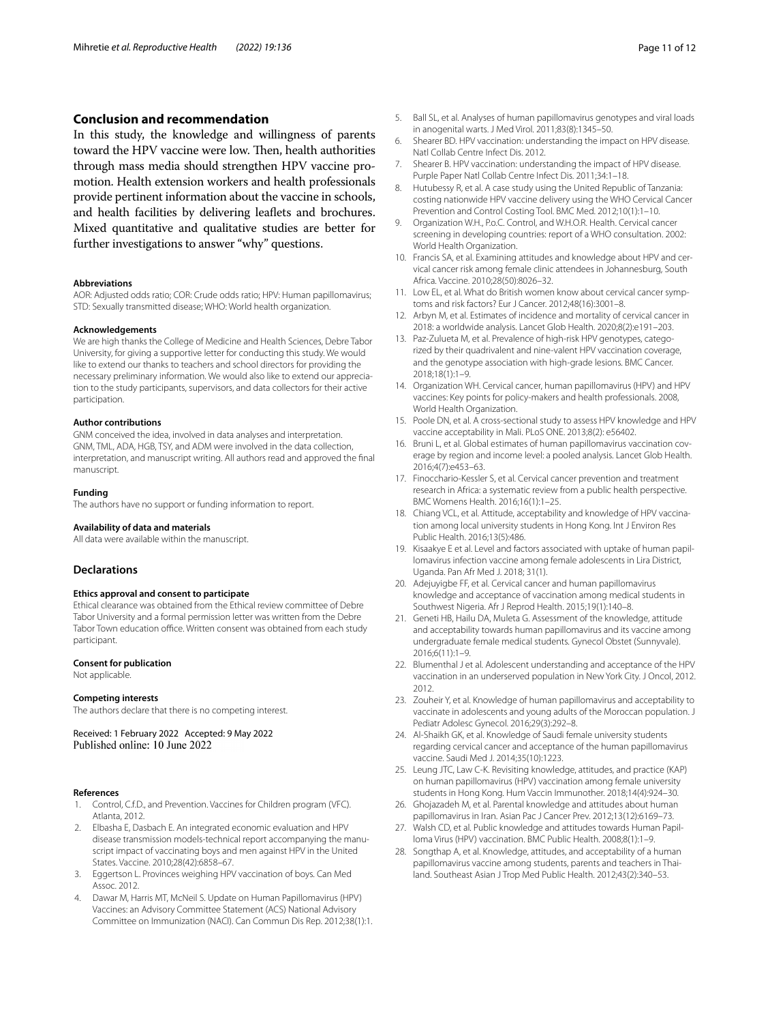## **Conclusion and recommendation**

In this study, the knowledge and willingness of parents toward the HPV vaccine were low. Then, health authorities through mass media should strengthen HPV vaccine promotion. Health extension workers and health professionals provide pertinent information about the vaccine in schools, and health facilities by delivering leafets and brochures. Mixed quantitative and qualitative studies are better for further investigations to answer "why" questions.

#### **Abbreviations**

AOR: Adjusted odds ratio; COR: Crude odds ratio; HPV: Human papillomavirus; STD: Sexually transmitted disease; WHO: World health organization.

#### **Acknowledgements**

We are high thanks the College of Medicine and Health Sciences, Debre Tabor University, for giving a supportive letter for conducting this study. We would like to extend our thanks to teachers and school directors for providing the necessary preliminary information. We would also like to extend our appreciation to the study participants, supervisors, and data collectors for their active participation.

#### **Author contributions**

GNM conceived the idea, involved in data analyses and interpretation. GNM, TML, ADA, HGB, TSY, and ADM were involved in the data collection, interpretation, and manuscript writing. All authors read and approved the fnal manuscript.

#### **Funding**

The authors have no support or funding information to report.

#### **Availability of data and materials**

All data were available within the manuscript.

#### **Declarations**

#### **Ethics approval and consent to participate**

Ethical clearance was obtained from the Ethical review committee of Debre Tabor University and a formal permission letter was written from the Debre Tabor Town education office. Written consent was obtained from each study participant.

#### **Consent for publication**

Not applicable.

#### **Competing interests**

The authors declare that there is no competing interest.

Received: 1 February 2022 Accepted: 9 May 2022 Published online: 10 June 2022

#### **References**

- <span id="page-10-0"></span>1. Control, C.f.D., and Prevention. Vaccines for Children program (VFC). Atlanta, 2012.
- <span id="page-10-1"></span>2. Elbasha E, Dasbach E. An integrated economic evaluation and HPV disease transmission models-technical report accompanying the manuscript impact of vaccinating boys and men against HPV in the United States. Vaccine. 2010;28(42):6858–67.
- <span id="page-10-2"></span>3. Eggertson L. Provinces weighing HPV vaccination of boys. Can Med Assoc. 2012.
- <span id="page-10-3"></span>4. Dawar M, Harris MT, McNeil S. Update on Human Papillomavirus (HPV) Vaccines: an Advisory Committee Statement (ACS) National Advisory Committee on Immunization (NACI). Can Commun Dis Rep. 2012;38(1):1.
- <span id="page-10-4"></span>5. Ball SL, et al. Analyses of human papillomavirus genotypes and viral loads in anogenital warts. J Med Virol. 2011;83(8):1345–50.
- 6. Shearer BD. HPV vaccination: understanding the impact on HPV disease. Natl Collab Centre Infect Dis. 2012.
- <span id="page-10-5"></span>7. Shearer B. HPV vaccination: understanding the impact of HPV disease. Purple Paper Natl Collab Centre Infect Dis. 2011;34:1–18.
- <span id="page-10-6"></span>8. Hutubessy R, et al. A case study using the United Republic of Tanzania: costing nationwide HPV vaccine delivery using the WHO Cervical Cancer Prevention and Control Costing Tool. BMC Med. 2012;10(1):1–10.
- <span id="page-10-7"></span>9. Organization W.H., P.o.C. Control, and W.H.O.R. Health. Cervical cancer screening in developing countries: report of a WHO consultation. 2002: World Health Organization.
- <span id="page-10-8"></span>10. Francis SA, et al. Examining attitudes and knowledge about HPV and cervical cancer risk among female clinic attendees in Johannesburg, South Africa. Vaccine. 2010;28(50):8026–32.
- <span id="page-10-9"></span>11. Low EL, et al. What do British women know about cervical cancer symptoms and risk factors? Eur J Cancer. 2012;48(16):3001–8.
- <span id="page-10-10"></span>12. Arbyn M, et al. Estimates of incidence and mortality of cervical cancer in 2018: a worldwide analysis. Lancet Glob Health. 2020;8(2):e191–203.
- <span id="page-10-11"></span>13. Paz-Zulueta M, et al. Prevalence of high-risk HPV genotypes, categorized by their quadrivalent and nine-valent HPV vaccination coverage, and the genotype association with high-grade lesions. BMC Cancer. 2018;18(1):1–9.
- <span id="page-10-12"></span>14. Organization WH. Cervical cancer, human papillomavirus (HPV) and HPV vaccines: Key points for policy-makers and health professionals. 2008, World Health Organization.
- <span id="page-10-13"></span>15. Poole DN, et al. A cross-sectional study to assess HPV knowledge and HPV vaccine acceptability in Mali. PLoS ONE. 2013;8(2): e56402.
- <span id="page-10-14"></span>16. Bruni L, et al. Global estimates of human papillomavirus vaccination coverage by region and income level: a pooled analysis. Lancet Glob Health. 2016;4(7):e453–63.
- <span id="page-10-15"></span>17. Finocchario-Kessler S, et al. Cervical cancer prevention and treatment research in Africa: a systematic review from a public health perspective. BMC Womens Health. 2016;16(1):1–25.
- <span id="page-10-16"></span>18. Chiang VCL, et al. Attitude, acceptability and knowledge of HPV vaccination among local university students in Hong Kong. Int J Environ Res Public Health. 2016;13(5):486.
- 19. Kisaakye E et al. Level and factors associated with uptake of human papillomavirus infection vaccine among female adolescents in Lira District, Uganda. Pan Afr Med J. 2018; 31(1).
- <span id="page-10-22"></span>20. Adejuyigbe FF, et al. Cervical cancer and human papillomavirus knowledge and acceptance of vaccination among medical students in Southwest Nigeria. Afr J Reprod Health. 2015;19(1):140–8.
- <span id="page-10-17"></span>21. Geneti HB, Hailu DA, Muleta G. Assessment of the knowledge, attitude and acceptability towards human papillomavirus and its vaccine among undergraduate female medical students. Gynecol Obstet (Sunnyvale). 2016;6(11):1–9.
- <span id="page-10-18"></span>22. Blumenthal J et al. Adolescent understanding and acceptance of the HPV vaccination in an underserved population in New York City. J Oncol, 2012. 2012.
- <span id="page-10-19"></span>23. Zouheir Y, et al. Knowledge of human papillomavirus and acceptability to vaccinate in adolescents and young adults of the Moroccan population. J Pediatr Adolesc Gynecol. 2016;29(3):292–8.
- <span id="page-10-20"></span>24. Al-Shaikh GK, et al. Knowledge of Saudi female university students regarding cervical cancer and acceptance of the human papillomavirus vaccine. Saudi Med J. 2014;35(10):1223.
- <span id="page-10-21"></span>25. Leung JTC, Law C-K. Revisiting knowledge, attitudes, and practice (KAP) on human papillomavirus (HPV) vaccination among female university students in Hong Kong. Hum Vaccin Immunother. 2018;14(4):924–30.
- <span id="page-10-23"></span>26. Ghojazadeh M, et al. Parental knowledge and attitudes about human papillomavirus in Iran. Asian Pac J Cancer Prev. 2012;13(12):6169–73.
- <span id="page-10-24"></span>27. Walsh CD, et al. Public knowledge and attitudes towards Human Papilloma Virus (HPV) vaccination. BMC Public Health. 2008;8(1):1–9.
- <span id="page-10-25"></span>28. Songthap A, et al. Knowledge, attitudes, and acceptability of a human papillomavirus vaccine among students, parents and teachers in Thailand. Southeast Asian J Trop Med Public Health. 2012;43(2):340–53.